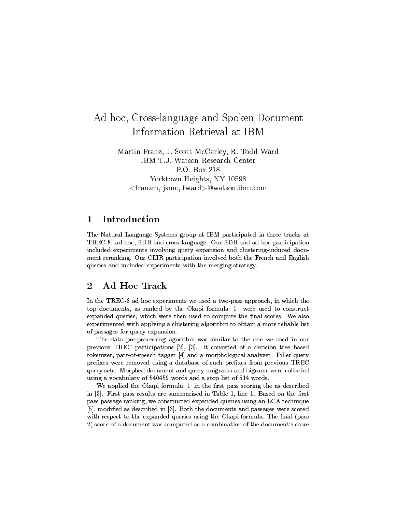# Ad hoc, Cross-language and Spoken Document Information Retrieval at IBM

Martin Franz, J. Scott McCarley, R. Todd WardIBM T.J. Watson Research CenterP.O. Box 218Yorktown Heights, NY 10598<franzm, jsmc, tward>@watson.ibm.com

### $\mathbf{1}$

The Natural Language Systems group at IBM participated in three tracks at TREC-8: ad hoc, SDR and cross-language. Our SDR and ad hoc participation included experiments involving query expansion and clustering-induced docu ment reranking. Our CLIR participation involved both the French and English queries and included experiments with the merging strategy.

#### $\overline{2}$ Ad Hoc Track

In the TREC-8 ad hoc experiments we used a two-pass approach, in which the top documents, as ranked by the Okapi formula [1], were used to construct expanded queries, which were then used to compute the final scores. We also experimented with applying a clustering algorithm to obtain a more reliable list of passages for query expansion.

The data pre-processing agorithm was similar to the one we used in our previous TREC participations [2], [3]. It consisted of a decision tree based tokenizer, part-of-speech tagger [4] and a morphological analyzer. Filler query prefixes were removed using a database of such prefixes from previous TREC query sets. Morphed document and query unigrams and bigrams were collected using a vocabulary of 540459 words and a stop list of 514 words.

We applied the Okapi formula  $[1]$  in the first pass scoring the as described in  $[3]$ . First pass results are summarized in Table 1, line 1. Based on the first pass passage ranking, we constructed expanded queries using an LCA technique [5], modied as described in [3]. Both the documents and passages were scored with respect to the expanded queries using the Okapi formula. The final (pass 2) score of a document was computed as a combination of the document's score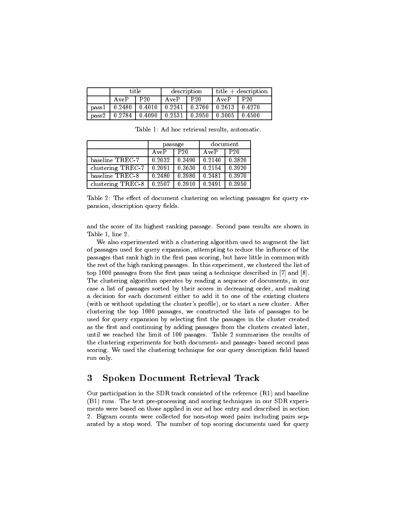| title |                                                                          | description |          | $title + description$ |                |
|-------|--------------------------------------------------------------------------|-------------|----------|-----------------------|----------------|
| AveP  | P <sub>20</sub>                                                          | AveP        | $P_{20}$ | AveP                  | $\mathsf{P}20$ |
|       | $\overline{pass1}$   0.2480   0.4010   0.2241   0.3760   0.2613   0.4270 |             |          |                       |                |
|       | pass2   0.2784   0.4090   0.2531   0.3950   0.3005   0.4500              |             |          |                       |                |

Table 1: Ad hoc retrieval results, automatic.

|                   | passage                 |        | document |                 |
|-------------------|-------------------------|--------|----------|-----------------|
|                   | P <sub>20</sub><br>AveP |        | AveP     | P <sub>20</sub> |
| baseline TREC-7   | 0.2032                  | 0.3490 | 0.2140   | 0.3820          |
| clustering TREC-7 | 0.2091                  | 0.3630 | 0.2154   | 0.3920          |
| baseline TREC-8   | 0.2480                  | 0.3980 | 0.2481   | 0.3970          |
| clustering TREC-8 | 0.2507                  | 0.3910 | 0.2491   | 0.3950          |

Table 2: The effect of document clustering on selecting passages for query expansion, description query fields.

and the score of its highest ranking passage. Second pass results are shown in Table 1, line 2.

We also experimented with a clustering algorithm used to augment the list of passages used for query expansion, attempting to reduce the influence of the passages that rank high in the first pass scoring, but have little in common with the rest of the high ranking passages. In this experiment, we clustered the list of top 1000 passages from the first pass using a technique described in  $[7]$  and  $[8]$ . The clustering algorithm operates by reading a sequence of documents, in our case a list of passages sorted by their scores in decreasing order, and making a decision for each document either to add it to one of the existing clusters (with or without updating the cluster's prole), or to start a new cluster. After clustering the top 1000 passages, we constructed the lists of passages to be used for query expansion by selecting first the passages in the cluster created as the first and continuing by adding passages from the clusters created later, until we reached the limit of 100 pasages. Table 2 summarizes the results of the clustering experiments for both document- and passage- based second pass scoring. We used the clustering technique for our query description field based run only.

#### 3 Spoken Document Retrieval Track 3

Our participation in the SDR track consisted of the reference (R1) and baseline (B1) runs. The text pre-processing and scoring techniques in our SDR experi ments were based on those applied in our ad hoc entry and described in section 2. Bigram counts were collected for non-stop word pairs including pairs separated by a stop word. The number of top scoring documents used for query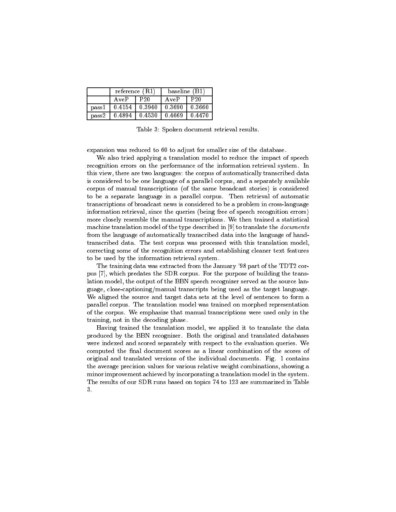|                | reference $(R1)$ |                                     | baseline (B1)           |                 |
|----------------|------------------|-------------------------------------|-------------------------|-----------------|
|                | P20<br>AveP      |                                     | AveP                    | P <sub>20</sub> |
| $_{\rm pass1}$ |                  | $0.4154 \pm 0.3940$                 | $\pm 0.3690 \pm 0.3660$ |                 |
| $_{\rm pass2}$ |                  | $0.4894$   0.4530   0.4669   0.4470 |                         |                 |

Table 3: Spoken document retrieval results.

expansion was reduced to 60 to adjust for smaller size of the database.

We also tried applying a translation model to reduce the impact of speech recognition errors on the performance of the information retrieval system. In this view, there are two languages: the corpus of automatically transcribed data is considered to be one language of a parallel corpus, and a separately available corpus of manual transcriptions (of the same broadcast stories) is considered to be a separate language in a parallel corpus. Then retrieval of automatic transcriptions of broadcast news is considered to be a problem in cross-language information retrieval, since the queries (being free of speech recognition errors) more closely resemble the manual transcriptions. We then trained a statistical machine translation model of the type described in [9] to translate the documents from the language of automatically transcribed data into the language of handtranscribed data. The test corpus was processed with this translation model, correcting some of the recognition errors and establishing cleaner text features to be used by the information retrieval system.

The training data was extracted from the January '98 part of the TDT2 corpus [7], which predates the SDR corpus. For the purpose of building the translation model, the output of the BBN speech recognizer served as the source language, close-captioning/manual transcripts being used as the target language. We aligned the source and target data sets at the level of sentences to form a parallel corpus. The translation model was trained on morphed representation of the corpus. We emphasize that manual transcriptions were used only in the training, not in the decoding phase.

Having trained the translation model, we applied it to translate the data produced by the BBN recognizer. Both the original and translated databases were indexed and scored separately with respect to the evaluation queries. We computed the final document scores as a linear combination of the scores of original and translated versions of the individual documents. Fig. 1 contains the average precision values for various relative weight combinations, showing a minor improvement achieved by incorporating a translation model in the system. The results of our SDR runs based on topics 74 to 123 are summarized in Table  $\mathcal{R}$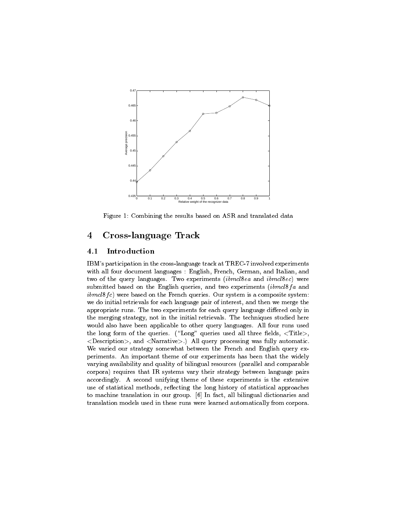

Figure 1: Combining the results based on ASR and translated data

#### 4 Cross-language Track  $\overline{4}$

### 4.1 Introduction

IBM's participation in the cross-language track at TREC-7 involved experiments with all four document languages : English, French, German, and Italian, and two of the query languages. Two experiments (ibmcl8ea and ibmcl8ec) were submitted based on the English queries, and two experiments  $(ibmcl8fa$  and  $ibmcl8fc$ ) were based on the French queries. Our system is a composite system: we do initial retrievals for each language pair of interest, and then we merge the appropriate runs. The two experiments for each query language differed only in the merging strategy, not in the initial retrievals. The techniques studied here would also have been applicable to other query languages. All four runs used the long form of the queries. ("Long" queries used all three fields,  $\langle$ Title $\rangle$ , <Description>, and <Narrative>.) All query processing was fully automatic. We varied our strategy somewhat between the French and English query experiments. An important theme of our experiments has been that the widely varying availability and quality of bilingual resources (parallel and comparable corpora) requires that IR systems vary their strategy between language pairs accordingly. A second unifying theme of these experiments is the extensive use of statistical methods, reflecting the long history of statistical approaches to machine translation in our group. [6] In fact, all bilingual dictionaries and translation models used in these runs were learned automatically from corpora.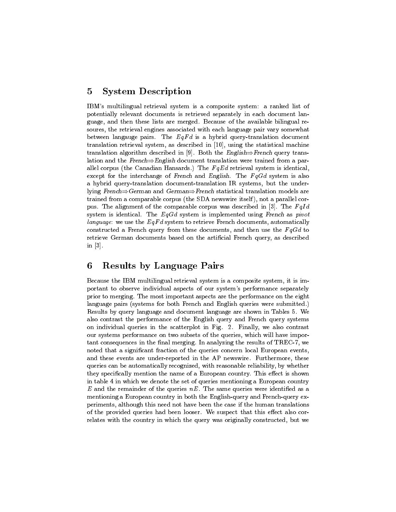#### 5 System Description  $\overline{5}$

IBM's multilingual retrieval system is a composite system: a ranked list of potentially relevant documents is retrieved separately in each document language, and then these lists are merged. Because of the available bilingual resoures, the retrieval engines associated with each language pair vary somewhat between langauge pairs. The  $EqFd$  is a hybrid query-translation document translation retrieval system, as described in [10], using the statistical machine translation algorithm described in [9]. Both the English $\Rightarrow$  French query translation and the French $\Rightarrow$  English document translation were trained from a parallel corpus (the Canadian Hansards.) The  $F qE d$  retrieval system is identical, except for the interchange of French and English. The  $F qGd$  system is also a hybrid query-translation document-translation IR systems, but the underlying French $\Rightarrow$  German and German $\Rightarrow$  French statistical translation models are trained from a comparable corpus (the SDA newswire itself), not a parallel corpus. The alignment of the comparable corpus was described in  $[3]$ . The  $FqId$ system is identical. The  $E qGd$  system is implemented using French as pivot language: we use the  $EqFd$  system to retrieve French documents, automatically constructed a French query from these documents, and then use the  $F qGd$  to retrieve German documents based on the artificial French query, as described in [3].

#### 6 Results by Language Pairs 6

Because the IBM multilingual retrieval system is a composite system, it is important to observe individual aspects of our system's performance separately prior to merging. The most important aspects are the performance on the eight language pairs (systems for both French and English queries were submitted.) Results by query language and document language are shown in Tables 5. We also contrast the performance of the English query and French query systems on individual queries in the scatterplot in Fig. 2. Finally, we also contrast our systems performance on two subsets of the queries, which will have important consequences in the final merging. In analyzing the results of TREC-7, we noted that a signicant fraction of the queries concern local European events, and these events are under-reported in the AP newswire. Furthermore, these queries can be automatically recognized, with reasonable reliability, by whether they specifically mention the name of a European country. This effect is shown in table 4 in which we denote the set of queries mentioning a European country E and the remainder of the queries nE. The same queries were identied as a mentioning a European country in both the English-query and French-query experiments, although this need not have been the case if the human translations of the provided queries had been looser. We suspect that this effect also correlates with the country in which the query was originally constructed, but we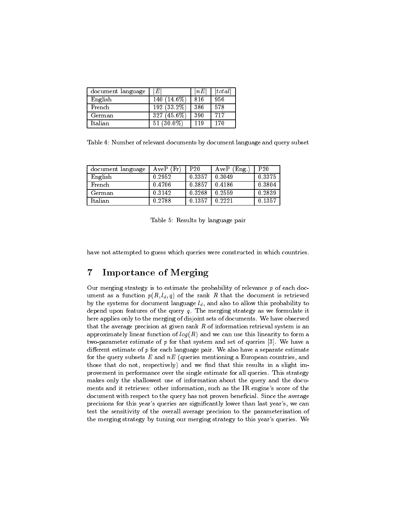| document language | E                 | $\ln E$ | total |
|-------------------|-------------------|---------|-------|
| English           | $(14.6\%)$<br>140 | 816     | 956   |
| French            | $192(33.2\%)$     | 386     | 578   |
| German            | $327(45.6\%)$     | 390     | 717   |
| Italian           | $51(30.0\%)$      | 119     | 170   |

Table 4: Number of relevant documents by document language and query subset

| document language | $\rm Fr)$<br>AveP | $P_{20}$ | [Eng.]<br>AveP | P <sub>20</sub> |
|-------------------|-------------------|----------|----------------|-----------------|
| English           | 0.2952            | 0.3357   | 0.3049         | 0.3375          |
| French            | 0.4706            | 0.3857   | 0.4186         | 0.3804          |
| German            | 0.3142            | 0.3268   | 0.2559         | 0.2839          |
| Italian           | 0.2788            | 0.1357   | 0.2221         | 0.1357          |

|  |  | Table 5: Results by language pair |  |
|--|--|-----------------------------------|--|
|  |  |                                   |  |

have not attempted to guess which queries were constructed in which countries.

## 7 Importance of Merging

Our merging strategy is to estimate the probability of relevance  $p$  of each document as a function  $p(R, l_d, q)$  of the rank R that the document is retrieved by the systems for document language  $l_d$ , and also to allow this probability to depend upon features of the query q. The merging strategy as we formulate it here applies only to the merging of disjoint sets of documents. We have observed that the average precision at given rank  $R$  of information retrieval system is an approximately linear function of  $log(R)$  and we can use this linearity to form a two-parameter estimate of  $p$  for that system and set of queries  $[3]$ . We have a different estimate of  $p$  for each language pair. We also have a separate estimate for the query subsets  $E$  and  $nE$  (queries mentioning a European countries, and those that do not, respectively) and we find that this results in a slight improvement in performance over the single estimate for all queries. This strategy makes only the shallowest use of information about the query and the docu ments and it retrieves: other information, such as the IR engine's score of the document with respect to the query has not proven beneficial. Since the average precisions for this year's queries are signicantly lower than last year's, we can test the sensitivity of the overall average precision to the parameterization of the merging strategy by tuning our merging strategy to this year's queries. We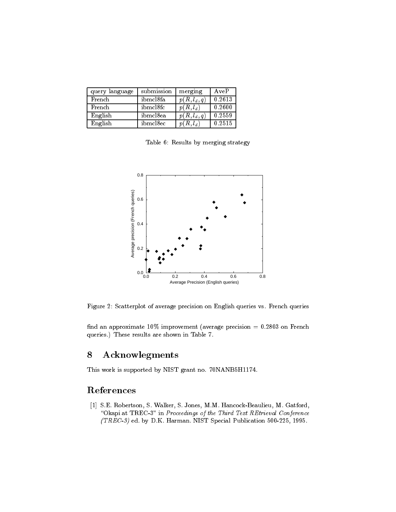| query language | submission | merging        | AveP   |
|----------------|------------|----------------|--------|
| French         | ibmc18fa   | $p(R, l_d, q)$ | 0.2613 |
| French         | ibmel8fc   | $p(R, l_d)$    | 0.2600 |
| English        | ibmcl8ea   | $p(R, l_d, q)$ | 0.2559 |
| English        | ibmcl8ec   | $R, l_d)$      | 0.2515 |

Table 6: Results by merging strategy



Figure 2: Scatterplot of average precision on English queries vs. French queries

find an approximate 10% improvement (average precision  $= 0.2803$  on French queries.) These results are shown in Table 7.

### 8 Acknowlegments

This work is supported by NIST grant no. 70NANB5H1174.

### References

[1] S.E. Robertson, S. Walker, S. Jones, M.M. Hancock-Beaulieu, M. Gatford, "Okapi at TREC-3" in Proceedings of the Third Text REtrieval Conference (TREC-3) ed. by D.K. Harman. NIST Special Publication 500-225, 1995.